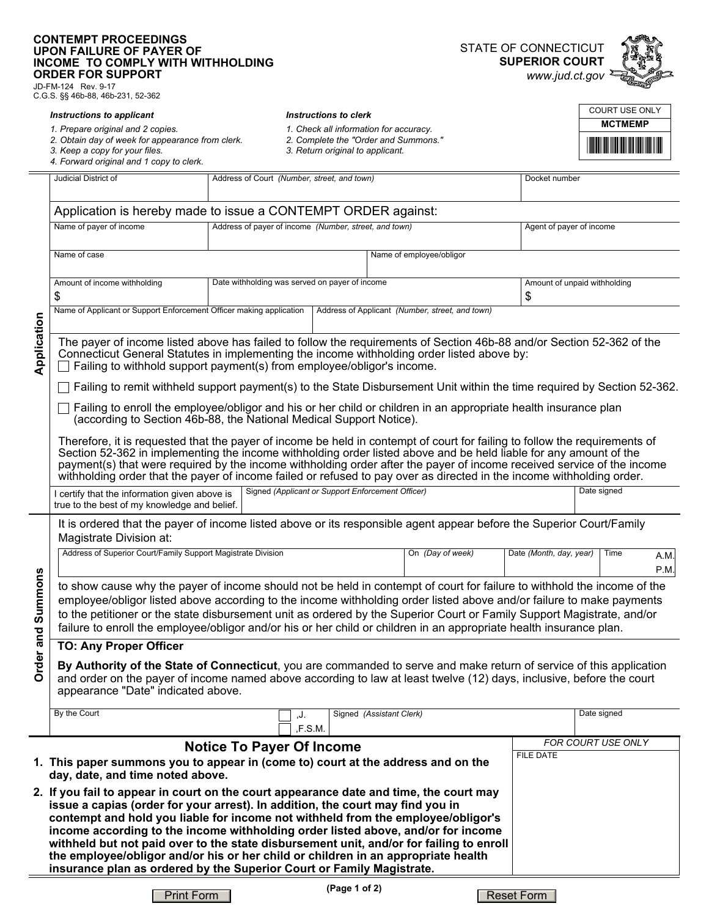## **CONTEMPT PROCEEDINGS UPON FAILURE OF PAYER OF INCOME TO COMPLY WITH WITHHOLDING ORDER FOR SUPPORT**

*2. Obtain day of week for appearance from clerk.* 

JD-FM-124 Rev. 9-17

C.G.S. §§ 46b-88, 46b-231, 52-362

## *Instructions to applicant*

- *1. Check all information for accuracy.*
- *2. Complete the "Order and Summons." 3. Return original to applicant.*



STATE OF CONNECTICUT

**SUPERIOR COURT** *www.jud.ct.gov*

*3. Keep a copy for your files.* 

*1. Prepare original and 2 copies.* 

*4. Forward original and 1 copy to clerk.*

|                   | Judicial District of                                                                                                                                                                                                                                                                                                                                                                                                                                                                                                                                                                                      | Address of Court (Number, street, and town)           |                          |                          | Docket number           |                    |              |  |  |  |
|-------------------|-----------------------------------------------------------------------------------------------------------------------------------------------------------------------------------------------------------------------------------------------------------------------------------------------------------------------------------------------------------------------------------------------------------------------------------------------------------------------------------------------------------------------------------------------------------------------------------------------------------|-------------------------------------------------------|--------------------------|--------------------------|-------------------------|--------------------|--------------|--|--|--|
| Application       | Application is hereby made to issue a CONTEMPT ORDER against:                                                                                                                                                                                                                                                                                                                                                                                                                                                                                                                                             |                                                       |                          |                          |                         |                    |              |  |  |  |
|                   | Name of payer of income                                                                                                                                                                                                                                                                                                                                                                                                                                                                                                                                                                                   | Address of payer of income (Number, street, and town) | Agent of payer of income |                          |                         |                    |              |  |  |  |
|                   | Name of case<br>Name of employee/obligor                                                                                                                                                                                                                                                                                                                                                                                                                                                                                                                                                                  |                                                       |                          |                          |                         |                    |              |  |  |  |
|                   | Amount of income withholding                                                                                                                                                                                                                                                                                                                                                                                                                                                                                                                                                                              | Amount of unpaid withholding                          |                          |                          |                         |                    |              |  |  |  |
|                   | \$                                                                                                                                                                                                                                                                                                                                                                                                                                                                                                                                                                                                        | Date withholding was served on payer of income        | \$                       |                          |                         |                    |              |  |  |  |
|                   | Name of Applicant or Support Enforcement Officer making application<br>Address of Applicant (Number, street, and town)                                                                                                                                                                                                                                                                                                                                                                                                                                                                                    |                                                       |                          |                          |                         |                    |              |  |  |  |
|                   | The payer of income listed above has failed to follow the requirements of Section 46b-88 and/or Section 52-362 of the<br>Connecticut General Statutes in implementing the income withholding order listed above by:<br>Failing to withhold support payment(s) from employee/obligor's income.                                                                                                                                                                                                                                                                                                             |                                                       |                          |                          |                         |                    |              |  |  |  |
|                   | □ Failing to remit withheld support payment(s) to the State Disbursement Unit within the time required by Section 52-362.                                                                                                                                                                                                                                                                                                                                                                                                                                                                                 |                                                       |                          |                          |                         |                    |              |  |  |  |
|                   | Failing to enroll the employee/obligor and his or her child or children in an appropriate health insurance plan<br>(according to Section 46b-88, the National Medical Support Notice).                                                                                                                                                                                                                                                                                                                                                                                                                    |                                                       |                          |                          |                         |                    |              |  |  |  |
|                   | Therefore, it is requested that the payer of income be held in contempt of court for failing to follow the requirements of<br>Section 52-362 in implementing the income withholding order listed above and be held liable for any amount of the<br>payment(s) that were required by the income withholding order after the payer of income received service of the income<br>withholding order that the payer of income failed or refused to pay over as directed in the income withholding order.                                                                                                        |                                                       |                          |                          |                         |                    |              |  |  |  |
|                   | certify that the information given above is<br>true to the best of my knowledge and belief.                                                                                                                                                                                                                                                                                                                                                                                                                                                                                                               |                                                       | Date signed              |                          |                         |                    |              |  |  |  |
| Order and Summons | It is ordered that the payer of income listed above or its responsible agent appear before the Superior Court/Family<br>Magistrate Division at:                                                                                                                                                                                                                                                                                                                                                                                                                                                           |                                                       |                          |                          |                         |                    |              |  |  |  |
|                   | Address of Superior Court/Family Support Magistrate Division                                                                                                                                                                                                                                                                                                                                                                                                                                                                                                                                              |                                                       |                          | On (Day of week)         | Date (Month, day, year) | Time               | A.M.<br>P.M. |  |  |  |
|                   | to show cause why the payer of income should not be held in contempt of court for failure to withhold the income of the<br>employee/obligor listed above according to the income withholding order listed above and/or failure to make payments<br>to the petitioner or the state disbursement unit as ordered by the Superior Court or Family Support Magistrate, and/or<br>failure to enroll the employee/obligor and/or his or her child or children in an appropriate health insurance plan.                                                                                                          |                                                       |                          |                          |                         |                    |              |  |  |  |
|                   | <b>TO: Any Proper Officer</b>                                                                                                                                                                                                                                                                                                                                                                                                                                                                                                                                                                             |                                                       |                          |                          |                         |                    |              |  |  |  |
|                   | By Authority of the State of Connecticut, you are commanded to serve and make return of service of this application<br>and order on the payer of income named above according to law at least twelve (12) days, inclusive, before the court<br>appearance "Date" indicated above.                                                                                                                                                                                                                                                                                                                         |                                                       |                          |                          |                         |                    |              |  |  |  |
|                   | By the Court                                                                                                                                                                                                                                                                                                                                                                                                                                                                                                                                                                                              | , J.<br>,F.S.M.                                       | Signed (Assistant Clerk) |                          |                         | Date signed        |              |  |  |  |
|                   |                                                                                                                                                                                                                                                                                                                                                                                                                                                                                                                                                                                                           | <b>Notice To Payer Of Income</b>                      |                          |                          |                         | FOR COURT USE ONLY |              |  |  |  |
|                   | 1. This paper summons you to appear in (come to) court at the address and on the<br>day, date, and time noted above.                                                                                                                                                                                                                                                                                                                                                                                                                                                                                      | FILE DATE                                             |                          |                          |                         |                    |              |  |  |  |
|                   | 2. If you fail to appear in court on the court appearance date and time, the court may<br>issue a capias (order for your arrest). In addition, the court may find you in<br>contempt and hold you liable for income not withheld from the employee/obligor's<br>income according to the income withholding order listed above, and/or for income<br>withheld but not paid over to the state disbursement unit, and/or for failing to enroll<br>the employee/obligor and/or his or her child or children in an appropriate health<br>insurance plan as ordered by the Superior Court or Family Magistrate. |                                                       |                          |                          |                         |                    |              |  |  |  |
|                   | <b>PAIL</b>                                                                                                                                                                                                                                                                                                                                                                                                                                                                                                                                                                                               |                                                       | (Page 1 of 2)            | $\overline{\phantom{a}}$ |                         |                    |              |  |  |  |

Print Form | The Reset Form | Reset Form |